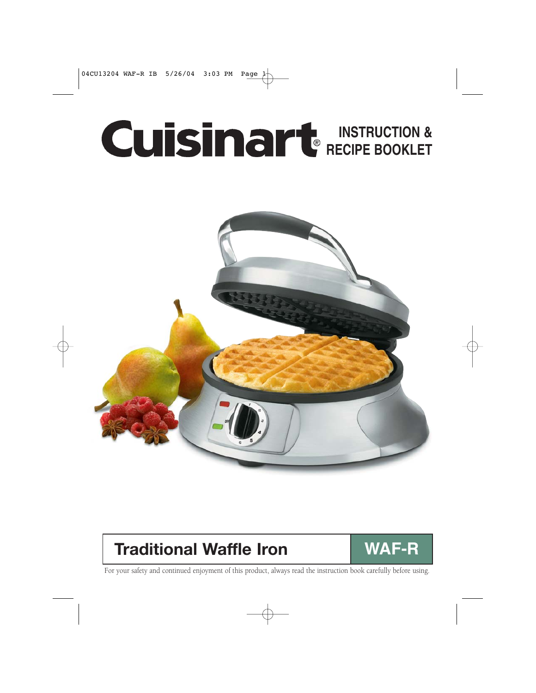# **INSTRUCTION & RECIPE BOOKLET**



# **Traditional Waffle Iron | WAF-R**



For your safety and continued enjoyment of this product, always read the instruction book carefully before using.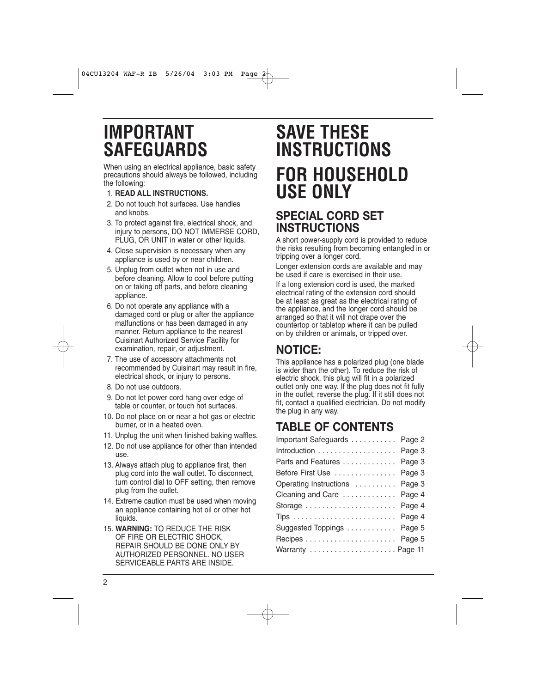# **IMPORTANT SAFEGUARDS**

When using an electrical appliance, basic safety precautions should always be followed, including the following:

- 1. **READ ALL INSTRUCTIONS.**
- 2. Do not touch hot surfaces. Use handles and knobs.
- 3. To protect against fire, electrical shock, and injury to persons, DO NOT IMMERSE CORD, PLUG, OR UNIT in water or other liquids.
- 4. Close supervision is necessary when any appliance is used by or near children.
- 5. Unplug from outlet when not in use and before cleaning. Allow to cool before putting on or taking off parts, and before cleaning appliance.
- 6. Do not operate any appliance with a damaged cord or plug or after the appliance malfunctions or has been damaged in any manner. Return appliance to the nearest Cuisinart Authorized Service Facility for examination, repair, or adjustment.
- 7. The use of accessory attachments not recommended by Cuisinart may result in fire, electrical shock, or injury to persons.
- 8. Do not use outdoors.
- 9. Do not let power cord hang over edge of table or counter, or touch hot surfaces.
- 10. Do not place on or near a hot gas or electric burner, or in a heated oven.
- 11. Unplug the unit when finished baking waffles.
- 12. Do not use appliance for other than intended use.
- 13. Always attach plug to appliance first, then plug cord into the wall outlet. To disconnect, turn control dial to OFF setting, then remove plug from the outlet.
- 14. Extreme caution must be used when moving an appliance containing hot oil or other hot liquids.
- 15. **WARNING:** TO REDUCE THE RISK OF FIRE OR ELECTRIC SHOCK, REPAIR SHOULD BE DONE ONLY BY AUTHORIZED PERSONNEL. NO USER SERVICEABLE PARTS ARE INSIDE.

# **SAVE THESE INSTRUCTIONS FOR HOUSEHOLD USE ONLY**

## **SPECIAL CORD SET INSTRUCTIONS**

A short power-supply cord is provided to reduce the risks resulting from becoming entangled in or tripping over a longer cord.

Longer extension cords are available and may be used if care is exercised in their use.

If a long extension cord is used, the marked electrical rating of the extension cord should be at least as great as the electrical rating of the appliance, and the longer cord should be arranged so that it will not drape over the countertop or tabletop where it can be pulled on by children or animals, or tripped over.

## **NOTICE:**

This appliance has a polarized plug (one blade is wider than the other). To reduce the risk of electric shock, this plug will fit in a polarized outlet only one way. If the plug does not fit fully in the outlet, reverse the plug. If it still does not fit, contact a qualified electrician. Do not modify the plug in any way.

# **TABLE OF CONTENTS**

| Important Safeguards Page 2    |  |
|--------------------------------|--|
| Introduction Page 3            |  |
| Parts and Features Page 3      |  |
| Before First Use  Page 3       |  |
| Operating Instructions  Page 3 |  |
| Cleaning and Care  Page 4      |  |
| Storage  Page 4                |  |
|                                |  |
| Suggested Toppings  Page 5     |  |
|                                |  |
| Warranty Page 11               |  |
|                                |  |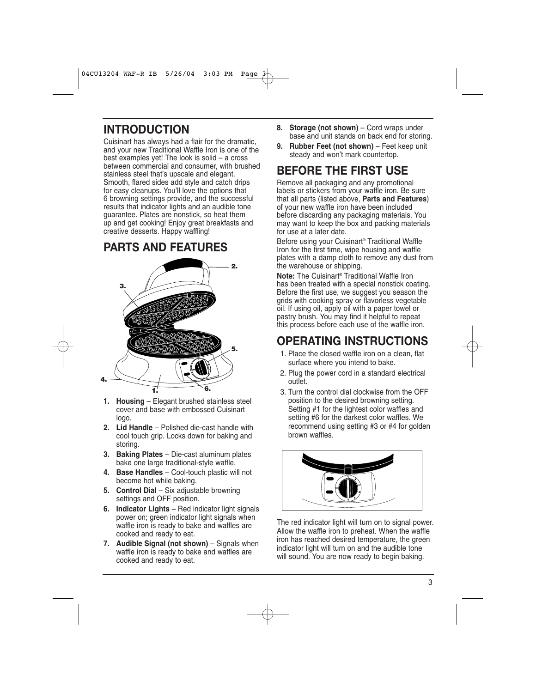### **INTRODUCTION**

Cuisinart has always had a flair for the dramatic, and your new Traditional Waffle Iron is one of the best examples yet! The look is solid – a cross between commercial and consumer, with brushed stainless steel that's upscale and elegant. Smooth, flared sides add style and catch drips for easy cleanups. You'll love the options that 6 browning settings provide, and the successful results that indicator lights and an audible tone guarantee. Plates are nonstick, so heat them up and get cooking! Enjoy great breakfasts and creative desserts. Happy waffling!

## **PARTS AND FEATURES**



- **1. Housing** Elegant brushed stainless steel cover and base with embossed Cuisinart logo.
- **2. Lid Handle** Polished die-cast handle with cool touch grip. Locks down for baking and storing.
- **3. Baking Plates** Die-cast aluminum plates bake one large traditional-style waffle.
- **4. Base Handles** Cool-touch plastic will not become hot while baking.
- **5. Control Dial** Six adjustable browning settings and OFF position.
- **6. Indicator Lights** Red indicator light signals power on; green indicator light signals when waffle iron is ready to bake and waffles are cooked and ready to eat.
- **7. Audible Signal (not shown)** Signals when waffle iron is ready to bake and waffles are cooked and ready to eat.
- **8. Storage (not shown)** Cord wraps under base and unit stands on back end for storing.
- **9. Rubber Feet (not shown)** Feet keep unit steady and won't mark countertop.

## **BEFORE THE FIRST USE**

Remove all packaging and any promotional labels or stickers from your waffle iron. Be sure that all parts (listed above, **Parts and Features**) of your new waffle iron have been included before discarding any packaging materials. You may want to keep the box and packing materials for use at a later date.

Before using your Cuisinart® Traditional Waffle Iron for the first time, wipe housing and waffle plates with a damp cloth to remove any dust from the warehouse or shipping.

**Note:** The Cuisinart® Traditional Waffle Iron has been treated with a special nonstick coating. Before the first use, we suggest you season the grids with cooking spray or flavorless vegetable oil. If using oil, apply oil with a paper towel or pastry brush. You may find it helpful to repeat this process before each use of the waffle iron.

# **OPERATING INSTRUCTIONS**

- 1. Place the closed waffle iron on a clean, flat surface where you intend to bake.
- 2. Plug the power cord in a standard electrical outlet.
- 3. Turn the control dial clockwise from the OFF position to the desired browning setting. Setting #1 for the lightest color waffles and setting #6 for the darkest color waffles. We recommend using setting #3 or #4 for golden brown waffles.



The red indicator light will turn on to signal power. Allow the waffle iron to preheat. When the waffle iron has reached desired temperature, the green indicator light will turn on and the audible tone will sound. You are now ready to begin baking.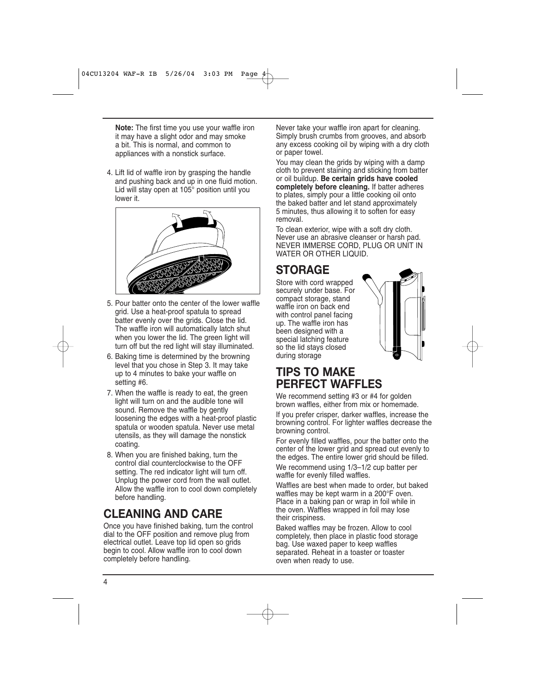**Note:** The first time you use your waffle iron it may have a slight odor and may smoke a bit. This is normal, and common to appliances with a nonstick surface.

4. Lift lid of waffle iron by grasping the handle and pushing back and up in one fluid motion. Lid will stay open at 105° position until you lower it.



- 5. Pour batter onto the center of the lower waffle grid. Use a heat-proof spatula to spread batter evenly over the grids. Close the lid. The waffle iron will automatically latch shut when you lower the lid. The green light will turn off but the red light will stay illuminated.
- 6. Baking time is determined by the browning level that you chose in Step 3. It may take up to 4 minutes to bake your waffle on setting #6.
- 7. When the waffle is ready to eat, the green light will turn on and the audible tone will sound. Remove the waffle by gently loosening the edges with a heat-proof plastic spatula or wooden spatula. Never use metal utensils, as they will damage the nonstick coating.
- 8. When you are finished baking, turn the control dial counterclockwise to the OFF setting. The red indicator light will turn off. Unplug the power cord from the wall outlet. Allow the waffle iron to cool down completely before handling.

## **CLEANING AND CARE**

Once you have finished baking, turn the control dial to the OFF position and remove plug from electrical outlet. Leave top lid open so grids begin to cool. Allow waffle iron to cool down completely before handling.

Never take your waffle iron apart for cleaning. Simply brush crumbs from grooves, and absorb any excess cooking oil by wiping with a dry cloth or paper towel.

You may clean the grids by wiping with a damp cloth to prevent staining and sticking from batter or oil buildup. **Be certain grids have cooled completely before cleaning.** If batter adheres to plates, simply pour a little cooking oil onto the baked batter and let stand approximately 5 minutes, thus allowing it to soften for easy removal.

To clean exterior, wipe with a soft dry cloth. Never use an abrasive cleanser or harsh pad. NEVER IMMERSE CORD, PLUG OR UNIT IN WATER OR OTHER LIQUID.

# **STORAGE**

Store with cord wrapped securely under base. For compact storage, stand waffle iron on back end with control panel facing up. The waffle iron has been designed with a special latching feature so the lid stays closed during storage



## **TIPS TO MAKE PERFECT WAFFLES**

We recommend setting #3 or #4 for golden brown waffles, either from mix or homemade.

If you prefer crisper, darker waffles, increase the browning control. For lighter waffles decrease the browning control.

For evenly filled waffles, pour the batter onto the center of the lower grid and spread out evenly to the edges. The entire lower grid should be filled.

We recommend using 1/3–1/2 cup batter per waffle for evenly filled waffles.

Waffles are best when made to order, but baked waffles may be kept warm in a 200°F oven. Place in a baking pan or wrap in foil while in the oven. Waffles wrapped in foil may lose their crispiness.

Baked waffles may be frozen. Allow to cool completely, then place in plastic food storage bag. Use waxed paper to keep waffles separated. Reheat in a toaster or toaster oven when ready to use.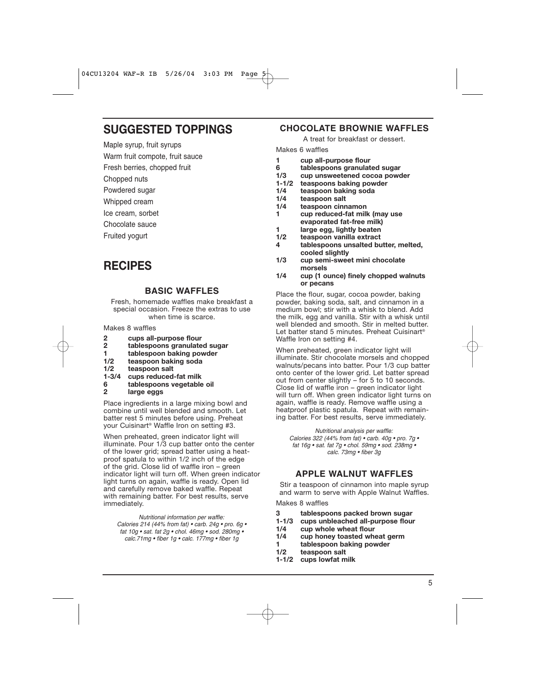### **SUGGESTED TOPPINGS**

Maple syrup, fruit syrups

Warm fruit compote, fruit sauce

Fresh berries, chopped fruit

Chopped nuts

Powdered sugar

Whipped cream

Ice cream, sorbet

Chocolate sauce

Fruited yogurt

## **RECIPES**

#### **BASIC WAFFLES**

Fresh, homemade waffles make breakfast a special occasion. Freeze the extras to use when time is scarce.

Makes 8 waffles

- **2 cups all-purpose flour**
- **2 tablespoons granulated sugar**
- **1** tablespoon baking powder<br>1/2 teaspoon baking soda
- **1/2 teaspoon baking soda**
- **1/2 teaspoon salt**
- **1-3/4 cups reduced-fat milk**
- **6 tablespoons vegetable oil**
- **2 large eggs**

Place ingredients in a large mixing bowl and combine until well blended and smooth. Let batter rest 5 minutes before using. Preheat your Cuisinart® Waffle Iron on setting #3.

When preheated, green indicator light will illuminate. Pour 1/3 cup batter onto the center of the lower grid; spread batter using a heatproof spatula to within 1/2 inch of the edge of the grid. Close lid of waffle iron – green indicator light will turn off. When green indicator light turns on again, waffle is ready. Open lid and carefully remove baked waffle. Repeat with remaining batter. For best results, serve immediately.

Nutritional information per waffle: Calories 214 (44% from fat) • carb. 24g • pro. 6g • fat 10g • sat. fat 2g • chol. 46mg • sod. 280mg • calc.71mg • fiber 1g • calc. 177mg • fiber 1g

#### **CHOCOLATE BROWNIE WAFFLES**

A treat for breakfast or dessert.

Makes 6 waffles

- **1 cup all-purpose flour**
- **6 tablespoons granulated sugar**
- **1/3 cup unsweetened cocoa powder**
- **1-1/2 teaspoons baking powder**
- **1/4 teaspoon baking soda**
- **1/4 teaspoon salt**
- **1/4 teaspoon cinnamon**
- **1 cup reduced-fat milk (may use evaporated fat-free milk)**
- **1** large egg, lightly beaten<br>**1/2** teaspoon vanilla extract
- **1/2 teaspoon vanilla extract**
- **4 tablespoons unsalted butter, melted, cooled slightly**
- **1/3 cup semi-sweet mini chocolate morsels**
- **1/4 cup (1 ounce) finely chopped walnuts or pecans**

Place the flour, sugar, cocoa powder, baking powder, baking soda, salt, and cinnamon in a medium bowl; stir with a whisk to blend. Add the milk, egg and vanilla. Stir with a whisk until well blended and smooth. Stir in melted butter. Let batter stand 5 minutes. Preheat Cuisinart® Waffle Iron on setting #4.

When preheated, green indicator light will illuminate. Stir chocolate morsels and chopped walnuts/pecans into batter. Pour 1/3 cup batter onto center of the lower grid. Let batter spread out from center slightly – for 5 to 10 seconds. Close lid of waffle iron – green indicator light will turn off. When green indicator light turns on again, waffle is ready. Remove waffle using a heatproof plastic spatula. Repeat with remaining batter. For best results, serve immediately.

Nutritional analysis per waffle: Calories 322 (44% from fat) • carb. 40q • pro. 7q • fat 16g • sat. fat 7g • chol. 59mg • sod. 238mg • calc. 73mg • fiber 3g

#### **APPLE WALNUT WAFFLES**

Stir a teaspoon of cinnamon into maple syrup and warm to serve with Apple Walnut Waffles.

Makes 8 waffles

- **3 tablespoons packed brown sugar**
- **1-1/3 cups unbleached all-purpose flour**
- **1/4 cup whole wheat flour**
- cup honey toasted wheat germ
- **1 tablespoon baking powder**
- **1/2 teaspoon salt**
- **1-1/2 cups lowfat milk**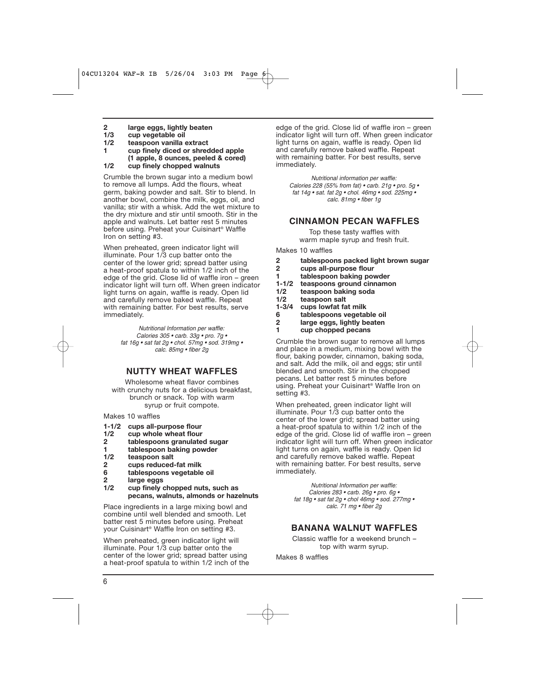- **2 large eggs, lightly beaten**
- **1/3 cup vegetable oil**
- **1/2 teaspoon vanilla extract**
- **1 cup finely diced or shredded apple (1 apple, 8 ounces, peeled & cored)**
- **1/2 cup finely chopped walnuts**

Crumble the brown sugar into a medium bowl to remove all lumps. Add the flours, wheat germ, baking powder and salt. Stir to blend. In another bowl, combine the milk, eggs, oil, and vanilla; stir with a whisk. Add the wet mixture to the dry mixture and stir until smooth. Stir in the apple and walnuts. Let batter rest 5 minutes before using. Preheat your Cuisinart® Waffle Iron on setting #3.

When preheated, green indicator light will illuminate. Pour 1/3 cup batter onto the center of the lower grid; spread batter using a heat-proof spatula to within 1/2 inch of the edge of the grid. Close lid of waffle iron – green indicator light will turn off. When green indicator light turns on again, waffle is ready. Open lid and carefully remove baked waffle. Repeat with remaining batter. For best results, serve immediately.

> Nutritional Information per waffle: Calories 305 • carb. 33g • pro. 7g • fat 16g • sat fat 2g • chol. 57mg • sod. 319mg • calc. 85mg • fiber 2g

#### **NUTTY WHEAT WAFFLES**

Wholesome wheat flavor combines with crunchy nuts for a delicious breakfast. brunch or snack. Top with warm syrup or fruit compote.

Makes 10 waffles

- **1-1/2 cups all-purpose flour**
- **1/2 cup whole wheat flour**
- **2 tablespoons granulated sugar**
- **1** tablespoon baking powder<br>1/2 teaspoon salt
- **1/2 teaspoon salt**
- **2 cups reduced-fat milk**
- **6 tablespoons vegetable oil**
- **2 large eggs**
- **1/2 cup finely chopped nuts, such as pecans, walnuts, almonds or hazelnuts**

Place ingredients in a large mixing bowl and combine until well blended and smooth. Let batter rest 5 minutes before using. Preheat your Cuisinart® Waffle Iron on setting #3.

When preheated, green indicator light will illuminate. Pour 1/3 cup batter onto the center of the lower grid; spread batter using a heat-proof spatula to within 1/2 inch of the edge of the grid. Close lid of waffle iron – green indicator light will turn off. When green indicator light turns on again, waffle is ready. Open lid and carefully remove baked waffle. Repeat with remaining batter. For best results, serve immediately.

Nutritional information per waffle: Calories 228 (55% from fat)  $\cdot$  carb. 21g  $\cdot$  pro. 5g  $\cdot$ fat 14g • sat. fat 2g • chol. 46mg • sod. 225mg • calc. 81mg • fiber 1g

#### **CINNAMON PECAN WAFFLES**

Top these tasty waffles with warm maple syrup and fresh fruit.

Makes 10 waffles

- **2 tablespoons packed light brown sugar**
- **2 cups all-purpose flour**
- **1** tablespoon baking powder<br>**1-1/2** teaspoons ground cinname
- **1-1/2 teaspoons ground cinnamon**
- **1/2 teaspoon baking soda**
- **1/2 teaspoon salt**
- **1-3/4 cups lowfat fat milk**
- **6 tablespoons vegetable oil**
- **2 large eggs, lightly beaten**
- **1 cup chopped pecans**

Crumble the brown sugar to remove all lumps and place in a medium, mixing bowl with the flour, baking powder, cinnamon, baking soda, and salt. Add the milk, oil and eggs; stir until blended and smooth. Stir in the chopped pecans. Let batter rest 5 minutes before using. Preheat your Cuisinart® Waffle Iron on setting #3.

When preheated, green indicator light will illuminate. Pour 1/3 cup batter onto the center of the lower grid; spread batter using a heat-proof spatula to within 1/2 inch of the edge of the grid. Close lid of waffle iron – green indicator light will turn off. When green indicator light turns on again, waffle is ready. Open lid and carefully remove baked waffle. Repeat with remaining batter. For best results, serve immediately.

> Nutritional Information per waffle: Calories 283 • carb. 26g • pro. 6g • fat 18g • sat fat 2g • chol 46mg • sod. 277mg • calc. 71 mg • fiber 2g

#### **BANANA WALNUT WAFFLES**

Classic waffle for a weekend brunch – top with warm syrup.

Makes 8 waffles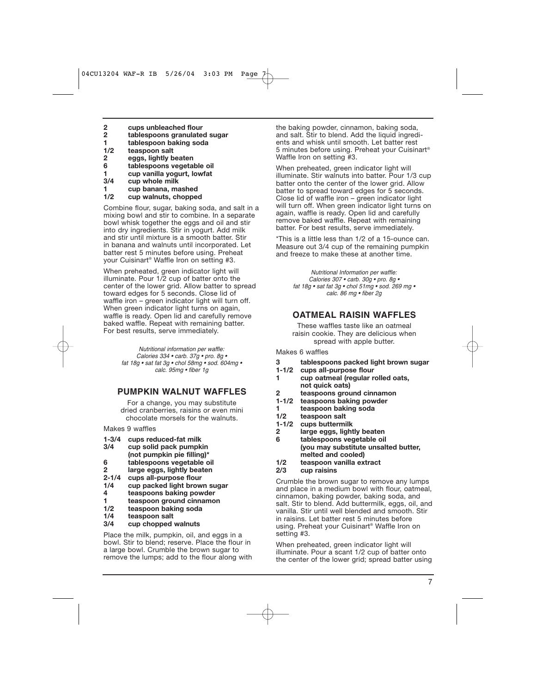- **2 cups unbleached flour**
- **2 tablespoons granulated sugar**
- **1 tablespoon baking soda**
- **1/2 teaspoon salt**
- **2 eggs, lightly beaten**
- **6 tablespoons vegetable oil**
- **1 cup vanilla yogurt, lowfat**
- **3/4 cup whole milk**
- **1 cup banana, mashed**
- **1/2 cup walnuts, chopped**

Combine flour, sugar, baking soda, and salt in a mixing bowl and stir to combine. In a separate bowl whisk together the eggs and oil and stir into dry ingredients. Stir in yogurt. Add milk and stir until mixture is a smooth batter. Stir in banana and walnuts until incorporated. Let batter rest 5 minutes before using. Preheat your Cuisinart® Waffle Iron on setting #3.

When preheated, green indicator light will illuminate. Pour 1/2 cup of batter onto the center of the lower grid. Allow batter to spread toward edges for 5 seconds. Close lid of waffle iron – green indicator light will turn off. When green indicator light turns on again, waffle is ready. Open lid and carefully remove baked waffle. Repeat with remaining batter. For best results, serve immediately.

> Nutritional information per waffle: Calories 334 • carb. 37g • pro. 8g • fat 18g • sat fat 3g • chol 58mg • sod. 604mg • calc. 95mg • fiber 1g

#### **PUMPKIN WALNUT WAFFLES**

For a change, you may substitute dried cranberries, raisins or even mini chocolate morsels for the walnuts.

Makes 9 waffles

- 
- **1-3/4 cups reduced-fat milk 3/4 cup solid pack pumpkin**
- **(not pumpkin pie filling)\***
- **6 tablespoons vegetable oil**
- **2 large eggs, lightly beaten**
- **2-1/4 cups all-purpose flour**
- **1/4 cup packed light brown sugar**
- **4 teaspoons baking powder**
- **1 teaspoon ground cinnamon**
- **1/2 teaspoon baking soda**
- teaspoon salt
- **3/4 cup chopped walnuts**

Place the milk, pumpkin, oil, and eggs in a bowl. Stir to blend; reserve. Place the flour in a large bowl. Crumble the brown sugar to remove the lumps; add to the flour along with the baking powder, cinnamon, baking soda, and salt. Stir to blend. Add the liquid ingredients and whisk until smooth. Let batter rest 5 minutes before using. Preheat your Cuisinart® Waffle Iron on setting #3.

When preheated, green indicator light will illuminate. Stir walnuts into batter. Pour 1/3 cup batter onto the center of the lower grid. Allow batter to spread toward edges for 5 seconds. Close lid of waffle iron – green indicator light will turn off. When green indicator light turns on again, waffle is ready. Open lid and carefully remove baked waffle. Repeat with remaining batter. For best results, serve immediately.

\*This is a little less than 1/2 of a 15-ounce can. Measure out 3/4 cup of the remaining pumpkin and freeze to make these at another time.

> Nutritional Information per waffle: Calories 307 • carb. 30g • pro. 8g • fat 18g • sat fat 3g • chol 51mg • sod. 269 mg • calc. 86 mg • fiber 2g

#### **OATMEAL RAISIN WAFFLES**

These waffles taste like an oatmeal raisin cookie. They are delicious when spread with apple butter.

Makes 6 waffles

- **3 tablespoons packed light brown sugar**
- cups all-purpose flour
- **1 cup oatmeal (regular rolled oats, not quick oats)**
- **2 teaspoons ground cinnamon**
- **1-1/2 teaspoons baking powder**
- **1 teaspoon baking soda**
- **1/2 teaspoon salt 1-1/2 cups buttermilk**
- 
- **2 large eggs, lightly beaten**
- **6 tablespoons vegetable oil (you may substitute unsalted butter, melted and cooled)**
- **1/2 teaspoon vanilla extract**
- **2/3 cup raisins**

Crumble the brown sugar to remove any lumps and place in a medium bowl with flour, oatmeal, cinnamon, baking powder, baking soda, and salt. Stir to blend. Add buttermilk, eggs, oil, and vanilla. Stir until well blended and smooth. Stir in raisins. Let batter rest 5 minutes before using. Preheat your Cuisinart® Waffle Iron on setting #3.

When preheated, green indicator light will illuminate. Pour a scant 1/2 cup of batter onto the center of the lower grid; spread batter using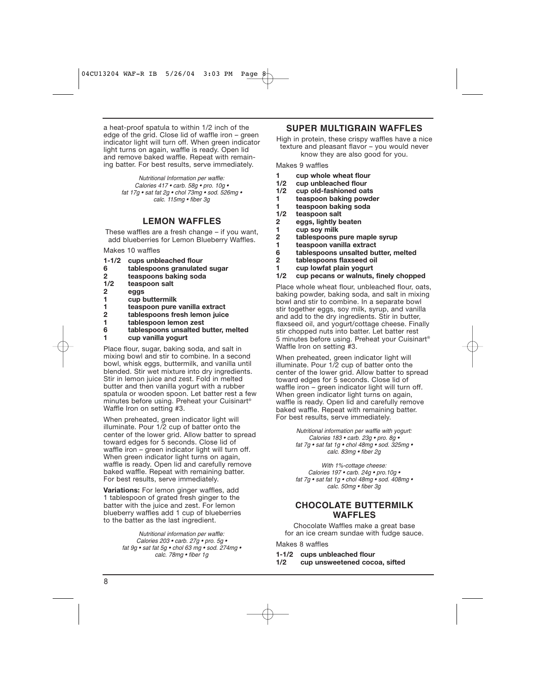a heat-proof spatula to within 1/2 inch of the edge of the grid. Close lid of waffle iron – green indicator light will turn off. When green indicator light turns on again, waffle is ready. Open lid and remove baked waffle. Repeat with remaining batter. For best results, serve immediately.

> Nutritional Information per waffle: Calories 417 • carb. 58g • pro. 10g • fat 17g • sat fat 2g • chol 73mg • sod.  $526$ mg • calc. 115mg • fiber 3g

#### **LEMON WAFFLES**

These waffles are a fresh change – if you want, add blueberries for Lemon Blueberry Waffles.

Makes 10 waffles

- **1-1/2 cups unbleached flour**
- **6 tablespoons granulated sugar**
- **2 teaspoons baking soda**
- **1/2 teaspoon salt**
- **2 eggs**
- **1 cup buttermilk**
- **1 teaspoon pure vanilla extract**
- **2 tablespoons fresh lemon juice**
- **1 tablespoon lemon zest**
- **6 tablespoons unsalted butter, melted 1 cup vanilla yogurt**

Place flour, sugar, baking soda, and salt in mixing bowl and stir to combine. In a second bowl, whisk eggs, buttermilk, and vanilla until blended. Stir wet mixture into dry ingredients. Stir in lemon juice and zest. Fold in melted butter and then vanilla yogurt with a rubber spatula or wooden spoon. Let batter rest a few minutes before using. Preheat your Cuisinart® Waffle Iron on setting #3.

When preheated, green indicator light will illuminate. Pour 1/2 cup of batter onto the center of the lower grid. Allow batter to spread toward edges for 5 seconds. Close lid of waffle iron – green indicator light will turn off. When green indicator light turns on again, waffle is ready. Open lid and carefully remove baked waffle. Repeat with remaining batter. For best results, serve immediately.

**Variations:** For lemon ginger waffles, add 1 tablespoon of grated fresh ginger to the batter with the juice and zest. For lemon blueberry waffles add 1 cup of blueberries to the batter as the last ingredient.

> Nutritional information per waffle: Calories 203 • carb. 27g • pro. 5g • fat 9g • sat fat 5g • chol 63 mg • sod. 274mg • calc. 78mg • fiber 1g

#### **SUPER MULTIGRAIN WAFFLES**

High in protein, these crispy waffles have a nice texture and pleasant flavor – you would never know they are also good for you.

Makes 9 waffles

- **1 cup whole wheat flour**
- cup unbleached flour
- **1/2 cup old-fashioned oats**
- **1 teaspoon baking powder**
- **1 teaspoon baking soda**
- **1/2 teaspoon salt**
- **2 eggs, lightly beaten**
- **1 cup soy milk**
- **2 tablespoons pure maple syrup**
- **1 teaspoon vanilla extract**
- **6 tablespoons unsalted butter, melted**
- **2 tablespoons flaxseed oil**
- **1 cup lowfat plain yogurt**
- **1/2 cup pecans or walnuts, finely chopped**

Place whole wheat flour, unbleached flour, oats, baking powder, baking soda, and salt in mixing bowl and stir to combine. In a separate bowl stir together eggs, soy milk, syrup, and vanilla and add to the dry ingredients. Stir in butter, flaxseed oil, and yogurt/cottage cheese. Finally stir chopped nuts into batter. Let batter rest 5 minutes before using. Preheat your Cuisinart® Waffle Iron on setting #3.

When preheated, green indicator light will illuminate. Pour 1/2 cup of batter onto the center of the lower grid. Allow batter to spread toward edges for 5 seconds. Close lid of waffle iron - green indicator light will turn off. When green indicator light turns on again, waffle is ready. Open lid and carefully remove baked waffle. Repeat with remaining batter. For best results, serve immediately.

> Nutritional information per waffle with yogurt: Calories 183 • carb. 23g • pro. 8g • fat 7g • sat fat 1g • chol 48mg • sod. 325mg • calc. 83mg • fiber 2g

> With 1%-cottage cheese: Calories 197 • carb. 24g • pro.10g • fat 7g • sat fat 1g • chol 48mg • sod. 408mg • calc. 50mg • fiber 3g

#### **CHOCOLATE BUTTERMILK WAFFLES**

Chocolate Waffles make a great base for an ice cream sundae with fudge sauce.

Makes 8 waffles

- **1-1/2 cups unbleached flour**
- **1/2 cup unsweetened cocoa, sifted**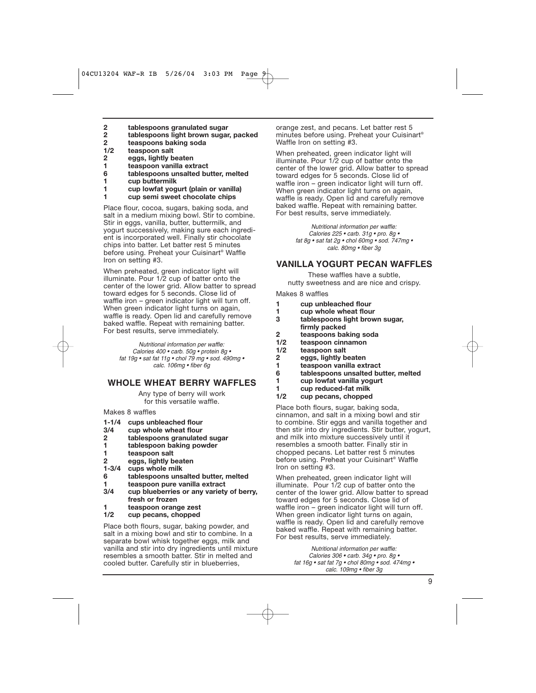- **2 tablespoons granulated sugar**
- **2 tablespoons light brown sugar, packed**
- **2 teaspoons baking soda**
- **1/2 teaspoon salt**
- **2 eggs, lightly beaten**
- **1 teaspoon vanilla extract**
- **6 tablespoons unsalted butter, melted**
- **1 cup buttermilk**
- **1 cup lowfat yogurt (plain or vanilla)**
- **1 cup semi sweet chocolate chips**

Place flour, cocoa, sugars, baking soda, and salt in a medium mixing bowl. Stir to combine. Stir in eggs, vanilla, butter, buttermilk, and yogurt successively, making sure each ingredient is incorporated well. Finally stir chocolate chips into batter. Let batter rest 5 minutes before using. Preheat your Cuisinart® Waffle Iron on setting #3.

When preheated, green indicator light will illuminate. Pour 1/2 cup of batter onto the center of the lower grid. Allow batter to spread toward edges for 5 seconds. Close lid of waffle iron – green indicator light will turn off. When green indicator light turns on again, waffle is ready. Open lid and carefully remove baked waffle. Repeat with remaining batter. For best results, serve immediately.

> Nutritional information per waffle: Calories 400 • carb. 50g • protein 8g • fat 19g • sat fat 11g • chol 79 mg • sod. 490mg • calc. 106mg • fiber 6g

#### **WHOLE WHEAT BERRY WAFFLES**

Any type of berry will work for this versatile waffle.

Makes 8 waffles

- **1-1/4 cups unbleached flour**
- **3/4 cup whole wheat flour**
- **2 tablespoons granulated sugar**
- **1 tablespoon baking powder**
- **1 teaspoon salt**
- **2 eggs, lightly beaten**
- **1-3/4 cups whole milk**
- **6 tablespoons unsalted butter, melted**
- **1 teaspoon pure vanilla extract**
- **3/4 cup blueberries or any variety of berry, fresh or frozen**
- **1** teaspoon orange zest<br>**1/2** cup pecans, chopped
- cup pecans, chopped

Place both flours, sugar, baking powder, and salt in a mixing bowl and stir to combine. In a separate bowl whisk together eggs, milk and vanilla and stir into dry ingredients until mixture resembles a smooth batter. Stir in melted and cooled butter. Carefully stir in blueberries,

orange zest, and pecans. Let batter rest 5 minutes before using. Preheat your Cuisinart® Waffle Iron on setting #3.

When preheated, green indicator light will illuminate. Pour 1/2 cup of batter onto the center of the lower grid. Allow batter to spread toward edges for 5 seconds. Close lid of waffle iron – green indicator light will turn off. When green indicator light turns on again, waffle is ready. Open lid and carefully remove baked waffle. Repeat with remaining batter. For best results, serve immediately.

> Nutritional information per waffle: Calories 225 • carb. 31g • pro. 8g • fat 8g • sat fat 2g • chol 60mg • sod. 747mg • calc. 80mg • fiber 3g

#### **VANILLA YOGURT PECAN WAFFLES**

These waffles have a subtle, nutty sweetness and are nice and crispy.

Makes 8 waffles

- **1 cup unbleached flour**
- **1 cup whole wheat flour**
- **3 tablespoons light brown sugar, firmly packed**
- **2 teaspoons baking soda**
- **1/2 teaspoon cinnamon**
- **1/2 teaspoon salt**
- **2 eggs, lightly beaten**
- **1 teaspoon vanilla extract**
- **6 tablespoons unsalted butter, melted**
- **1 cup lowfat vanilla yogurt**
- **1 cup reduced-fat milk**
- **1/2 cup pecans, chopped**

Place both flours, sugar, baking soda, cinnamon, and salt in a mixing bowl and stir to combine. Stir eggs and vanilla together and then stir into dry ingredients. Stir butter, yogurt, and milk into mixture successively until it resembles a smooth batter. Finally stir in chopped pecans. Let batter rest 5 minutes before using. Preheat your Cuisinart® Waffle Iron on setting #3.

When preheated, green indicator light will illuminate. Pour 1/2 cup of batter onto the center of the lower grid. Allow batter to spread toward edges for 5 seconds. Close lid of waffle iron – green indicator light will turn off. When green indicator light turns on again, waffle is ready. Open lid and carefully remove baked waffle. Repeat with remaining batter. For best results, serve immediately.

> Nutritional information per waffle: Calories 306 • carb. 34g • pro. 8g • fat 16g • sat fat 7g • chol 80mg • sod. 474mg • calc. 109mg • fiber 3g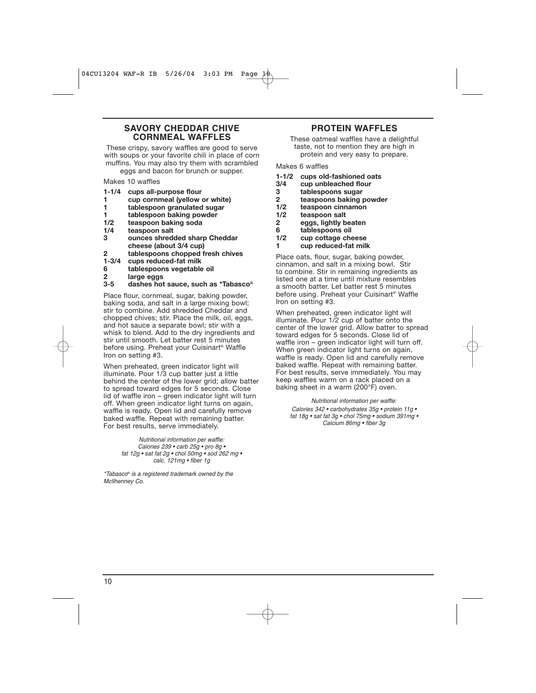#### **SAVORY CHEDDAR CHIVE CORNMEAL WAFFLES**

These crispy, savory waffles are good to serve with soups or your favorite chili in place of corn muffins. You may also try them with scrambled eggs and bacon for brunch or supper.

Makes 10 waffles

- **1-1/4 cups all-purpose flour**
- **1 cup cornmeal (yellow or white)**
- **1 tablespoon granulated sugar**
- **1 tablespoon baking powder**
- **1/2 teaspoon baking soda**
- **1/4 teaspoon salt**
- **3 ounces shredded sharp Cheddar cheese (about 3/4 cup)**
- **2 tablespoons chopped fresh chives**
- **1-3/4 cups reduced-fat milk**
- **6 tablespoons vegetable oil**
- **2 large eggs**
- **3-5 dashes hot sauce, such as \*Tabasco®**

Place flour, cornmeal, sugar, baking powder, baking soda, and salt in a large mixing bowl; stir to combine. Add shredded Cheddar and chopped chives; stir. Place the milk, oil, eggs, and hot sauce a separate bowl; stir with a whisk to blend. Add to the dry ingredients and stir until smooth. Let batter rest 5 minutes before using. Preheat your Cuisinart® Waffle Iron on setting #3.

When preheated, green indicator light will illuminate. Pour 1/3 cup batter just a little behind the center of the lower grid; allow batter to spread toward edges for 5 seconds. Close lid of waffle iron – green indicator light will turn off. When green indicator light turns on again, waffle is ready. Open lid and carefully remove baked waffle. Repeat with remaining batter. For best results, serve immediately.

> Nutritional information per waffle: Calories 239 • carb 25g • pro 8g • fat 12g • sat fat 2g • chol 50mg • sod 262 mg • calc. 121mg • fiber 1g

\*Tabasco® is a registered trademark owned by the McIlhenney Co.

#### **PROTEIN WAFFLES**

These oatmeal waffles have a delightful taste, not to mention they are high in protein and very easy to prepare.

Makes 6 waffles

- **1-1/2 cups old-fashioned oats**
- **3/4 cup unbleached flour**
- **3 tablespoons sugar**
- **2 teaspoons baking powder**
- **1/2 teaspoon cinnamon**
- **1/2 teaspoon salt**
- **2 eggs, lightly beaten**
- **6 tablespoons oil**
- cup cottage cheese
- **1 cup reduced-fat milk**

Place oats, flour, sugar, baking powder, cinnamon, and salt in a mixing bowl. Stir to combine. Stir in remaining ingredients as listed one at a time until mixture resembles a smooth batter. Let batter rest 5 minutes before using. Preheat your Cuisinart® Waffle Iron on setting #3.

When preheated, green indicator light will illuminate. Pour 1/2 cup of batter onto the center of the lower grid. Allow batter to spread toward edges for 5 seconds. Close lid of waffle iron – green indicator light will turn off. When green indicator light turns on again, waffle is ready. Open lid and carefully remove baked waffle. Repeat with remaining batter. For best results, serve immediately. You may keep waffles warm on a rack placed on a baking sheet in a warm (200°F) oven.

Nutritional information per waffle: Calories 342 • carbohydrates 35g • protein 11g • fat 18g • sat fat 3g • chol 75mg • sodium 391mg • Calcium 86mg • fiber 3g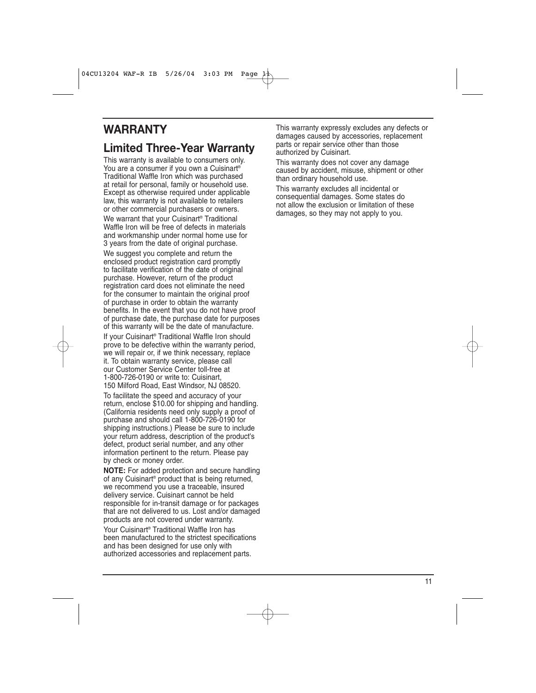### **WARRANTY**

### **Limited Three-Year Warranty**

This warranty is available to consumers only. You are a consumer if you own a Cuisinart® Traditional Waffle Iron which was purchased at retail for personal, family or household use. Except as otherwise required under applicable law, this warranty is not available to retailers or other commercial purchasers or owners. We warrant that your Cuisinart<sup>®</sup> Traditional Waffle Iron will be free of defects in materials and workmanship under normal home use for 3 years from the date of original purchase.

We suggest you complete and return the enclosed product registration card promptly to facilitate verification of the date of original purchase. However, return of the product registration card does not eliminate the need for the consumer to maintain the original proof of purchase in order to obtain the warranty benefits. In the event that you do not have proof of purchase date, the purchase date for purposes of this warranty will be the date of manufacture.

If your Cuisinart® Traditional Waffle Iron should prove to be defective within the warranty period, we will repair or, if we think necessary, replace it. To obtain warranty service, please call our Customer Service Center toll-free at 1-800-726-0190 or write to: Cuisinart, 150 Milford Road, East Windsor, NJ 08520.

To facilitate the speed and accuracy of your return, enclose \$10.00 for shipping and handling. (California residents need only supply a proof of purchase and should call 1-800-726-0190 for shipping instructions.) Please be sure to include your return address, description of the product's defect, product serial number, and any other information pertinent to the return. Please pay by check or money order.

**NOTE:** For added protection and secure handling of any Cuisinart® product that is being returned, we recommend you use a traceable, insured delivery service. Cuisinart cannot be held responsible for in-transit damage or for packages that are not delivered to us. Lost and/or damaged products are not covered under warranty.

Your Cuisinart® Traditional Waffle Iron has been manufactured to the strictest specifications and has been designed for use only with authorized accessories and replacement parts.

This warranty expressly excludes any defects or damages caused by accessories, replacement parts or repair service other than those authorized by Cuisinart.

This warranty does not cover any damage caused by accident, misuse, shipment or other than ordinary household use.

This warranty excludes all incidental or consequential damages. Some states do not allow the exclusion or limitation of these damages, so they may not apply to you.